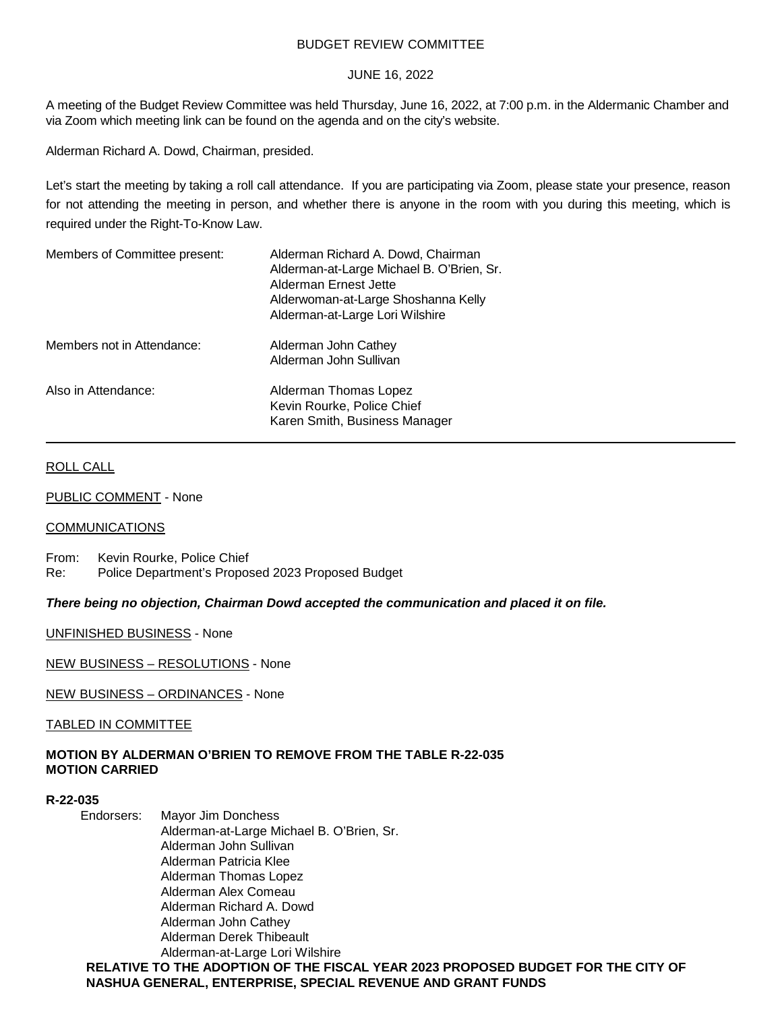## BUDGET REVIEW COMMITTEE

## JUNE 16, 2022

A meeting of the Budget Review Committee was held Thursday, June 16, 2022, at 7:00 p.m. in the Aldermanic Chamber and via Zoom which meeting link can be found on the agenda and on the city's website.

Alderman Richard A. Dowd, Chairman, presided.

Let's start the meeting by taking a roll call attendance. If you are participating via Zoom, please state your presence, reason for not attending the meeting in person, and whether there is anyone in the room with you during this meeting, which is required under the Right-To-Know Law.

| Members of Committee present: | Alderman Richard A. Dowd, Chairman<br>Alderman-at-Large Michael B. O'Brien, Sr.<br>Alderman Ernest Jette<br>Alderwoman-at-Large Shoshanna Kelly<br>Alderman-at-Large Lori Wilshire |
|-------------------------------|------------------------------------------------------------------------------------------------------------------------------------------------------------------------------------|
| Members not in Attendance:    | Alderman John Cathey<br>Alderman John Sullivan                                                                                                                                     |
| Also in Attendance:           | Alderman Thomas Lopez<br>Kevin Rourke, Police Chief<br>Karen Smith, Business Manager                                                                                               |

## ROLL CALL

PUBLIC COMMENT - None

# **COMMUNICATIONS**

From: Kevin Rourke, Police Chief Re: Police Department's Proposed 2023 Proposed Budget

*There being no objection, Chairman Dowd accepted the communication and placed it on file.*

UNFINISHED BUSINESS - None

NEW BUSINESS – RESOLUTIONS - None

NEW BUSINESS – ORDINANCES - None

TABLED IN COMMITTEE

# **MOTION BY ALDERMAN O'BRIEN TO REMOVE FROM THE TABLE R-22-035 MOTION CARRIED**

## **R-22-035**

Endorsers: Mayor Jim Donchess Alderman-at-Large Michael B. O'Brien, Sr. Alderman John Sullivan Alderman Patricia Klee Alderman Thomas Lopez Alderman Alex Comeau Alderman Richard A. Dowd Alderman John Cathey Alderman Derek Thibeault Alderman-at-Large Lori Wilshire **RELATIVE TO THE ADOPTION OF THE FISCAL YEAR 2023 PROPOSED BUDGET FOR THE CITY OF NASHUA GENERAL, ENTERPRISE, SPECIAL REVENUE AND GRANT FUNDS**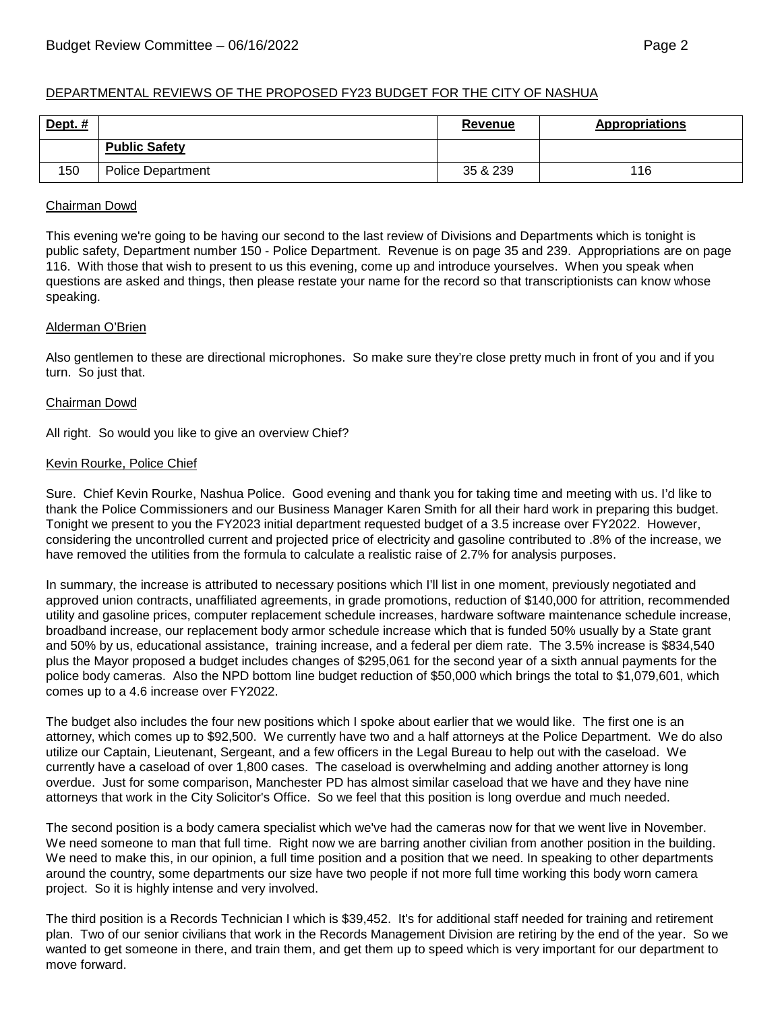# DEPARTMENTAL REVIEWS OF THE PROPOSED FY23 BUDGET FOR THE CITY OF NASHUA

| Dept. $#$ |                          | Revenue  | <b>Appropriations</b> |
|-----------|--------------------------|----------|-----------------------|
|           | <b>Public Safety</b>     |          |                       |
| 150       | <b>Police Department</b> | 35 & 239 | 116                   |

#### Chairman Dowd

This evening we're going to be having our second to the last review of Divisions and Departments which is tonight is public safety, Department number 150 - Police Department. Revenue is on page 35 and 239. Appropriations are on page 116. With those that wish to present to us this evening, come up and introduce yourselves. When you speak when questions are asked and things, then please restate your name for the record so that transcriptionists can know whose speaking.

## Alderman O'Brien

Also gentlemen to these are directional microphones. So make sure they're close pretty much in front of you and if you turn. So just that.

#### Chairman Dowd

All right. So would you like to give an overview Chief?

#### Kevin Rourke, Police Chief

Sure. Chief Kevin Rourke, Nashua Police. Good evening and thank you for taking time and meeting with us. I'd like to thank the Police Commissioners and our Business Manager Karen Smith for all their hard work in preparing this budget. Tonight we present to you the FY2023 initial department requested budget of a 3.5 increase over FY2022. However, considering the uncontrolled current and projected price of electricity and gasoline contributed to .8% of the increase, we have removed the utilities from the formula to calculate a realistic raise of 2.7% for analysis purposes.

In summary, the increase is attributed to necessary positions which I'll list in one moment, previously negotiated and approved union contracts, unaffiliated agreements, in grade promotions, reduction of \$140,000 for attrition, recommended utility and gasoline prices, computer replacement schedule increases, hardware software maintenance schedule increase, broadband increase, our replacement body armor schedule increase which that is funded 50% usually by a State grant and 50% by us, educational assistance, training increase, and a federal per diem rate. The 3.5% increase is \$834,540 plus the Mayor proposed a budget includes changes of \$295,061 for the second year of a sixth annual payments for the police body cameras. Also the NPD bottom line budget reduction of \$50,000 which brings the total to \$1,079,601, which comes up to a 4.6 increase over FY2022.

The budget also includes the four new positions which I spoke about earlier that we would like. The first one is an attorney, which comes up to \$92,500. We currently have two and a half attorneys at the Police Department. We do also utilize our Captain, Lieutenant, Sergeant, and a few officers in the Legal Bureau to help out with the caseload. We currently have a caseload of over 1,800 cases. The caseload is overwhelming and adding another attorney is long overdue. Just for some comparison, Manchester PD has almost similar caseload that we have and they have nine attorneys that work in the City Solicitor's Office. So we feel that this position is long overdue and much needed.

The second position is a body camera specialist which we've had the cameras now for that we went live in November. We need someone to man that full time. Right now we are barring another civilian from another position in the building. We need to make this, in our opinion, a full time position and a position that we need. In speaking to other departments around the country, some departments our size have two people if not more full time working this body worn camera project. So it is highly intense and very involved.

The third position is a Records Technician I which is \$39,452. It's for additional staff needed for training and retirement plan. Two of our senior civilians that work in the Records Management Division are retiring by the end of the year. So we wanted to get someone in there, and train them, and get them up to speed which is very important for our department to move forward.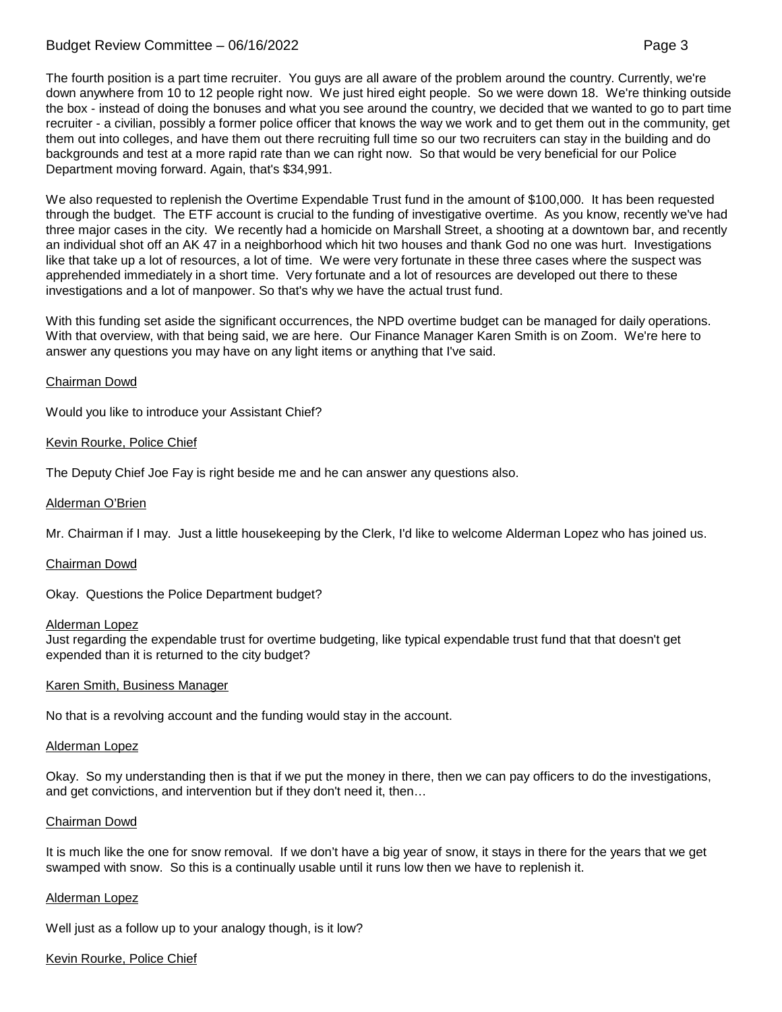# Budget Review Committee – 06/16/2022 Page 3

The fourth position is a part time recruiter. You guys are all aware of the problem around the country. Currently, we're down anywhere from 10 to 12 people right now. We just hired eight people. So we were down 18. We're thinking outside the box - instead of doing the bonuses and what you see around the country, we decided that we wanted to go to part time recruiter - a civilian, possibly a former police officer that knows the way we work and to get them out in the community, get them out into colleges, and have them out there recruiting full time so our two recruiters can stay in the building and do backgrounds and test at a more rapid rate than we can right now. So that would be very beneficial for our Police Department moving forward. Again, that's \$34,991.

We also requested to replenish the Overtime Expendable Trust fund in the amount of \$100,000. It has been requested through the budget. The ETF account is crucial to the funding of investigative overtime. As you know, recently we've had three major cases in the city. We recently had a homicide on Marshall Street, a shooting at a downtown bar, and recently an individual shot off an AK 47 in a neighborhood which hit two houses and thank God no one was hurt. Investigations like that take up a lot of resources, a lot of time. We were very fortunate in these three cases where the suspect was apprehended immediately in a short time. Very fortunate and a lot of resources are developed out there to these investigations and a lot of manpower. So that's why we have the actual trust fund.

With this funding set aside the significant occurrences, the NPD overtime budget can be managed for daily operations. With that overview, with that being said, we are here. Our Finance Manager Karen Smith is on Zoom. We're here to answer any questions you may have on any light items or anything that I've said.

# Chairman Dowd

Would you like to introduce your Assistant Chief?

# Kevin Rourke, Police Chief

The Deputy Chief Joe Fay is right beside me and he can answer any questions also.

# Alderman O'Brien

Mr. Chairman if I may. Just a little housekeeping by the Clerk, I'd like to welcome Alderman Lopez who has joined us.

## Chairman Dowd

Okay. Questions the Police Department budget?

## Alderman Lopez

Just regarding the expendable trust for overtime budgeting, like typical expendable trust fund that that doesn't get expended than it is returned to the city budget?

## Karen Smith, Business Manager

No that is a revolving account and the funding would stay in the account.

#### Alderman Lopez

Okay. So my understanding then is that if we put the money in there, then we can pay officers to do the investigations, and get convictions, and intervention but if they don't need it, then…

## Chairman Dowd

It is much like the one for snow removal. If we don't have a big year of snow, it stays in there for the years that we get swamped with snow. So this is a continually usable until it runs low then we have to replenish it.

## Alderman Lopez

Well just as a follow up to your analogy though, is it low?

## Kevin Rourke, Police Chief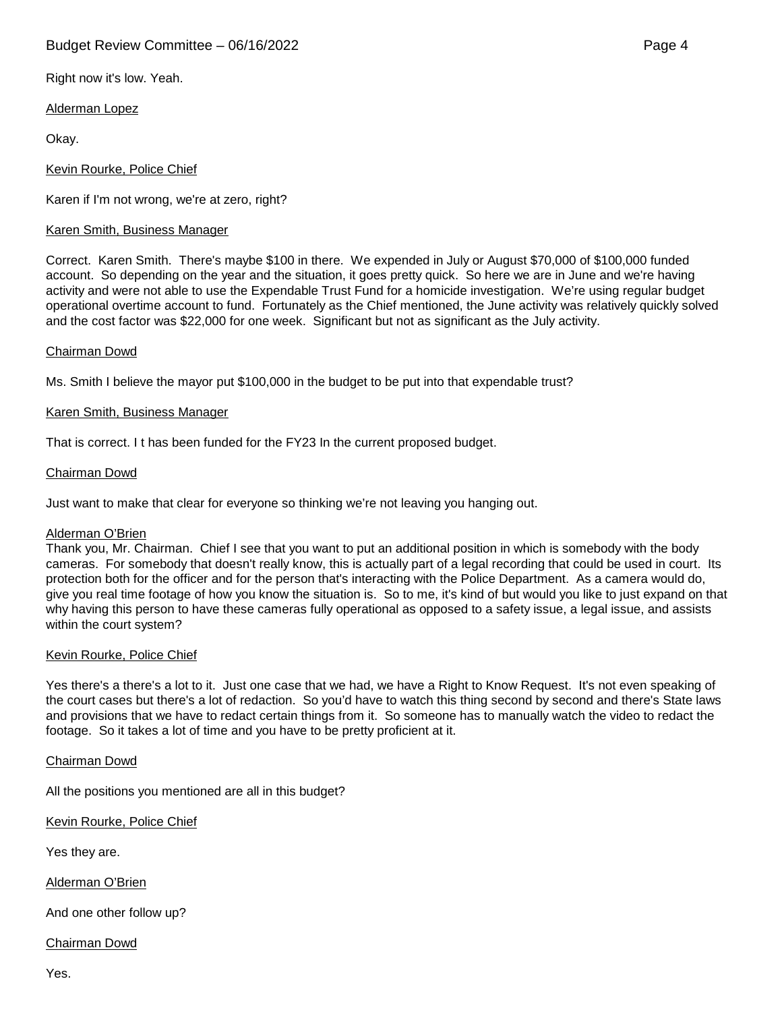# Budget Review Committee – 06/16/2022 **Page 4** Page 4

Right now it's low. Yeah.

# Alderman Lopez

Okay.

# Kevin Rourke, Police Chief

Karen if I'm not wrong, we're at zero, right?

# Karen Smith, Business Manager

Correct. Karen Smith. There's maybe \$100 in there. We expended in July or August \$70,000 of \$100,000 funded account. So depending on the year and the situation, it goes pretty quick. So here we are in June and we're having activity and were not able to use the Expendable Trust Fund for a homicide investigation. We're using regular budget operational overtime account to fund. Fortunately as the Chief mentioned, the June activity was relatively quickly solved and the cost factor was \$22,000 for one week. Significant but not as significant as the July activity.

# Chairman Dowd

Ms. Smith I believe the mayor put \$100,000 in the budget to be put into that expendable trust?

# Karen Smith, Business Manager

That is correct. I t has been funded for the FY23 In the current proposed budget.

# Chairman Dowd

Just want to make that clear for everyone so thinking we're not leaving you hanging out.

## Alderman O'Brien

Thank you, Mr. Chairman. Chief I see that you want to put an additional position in which is somebody with the body cameras. For somebody that doesn't really know, this is actually part of a legal recording that could be used in court. Its protection both for the officer and for the person that's interacting with the Police Department. As a camera would do, give you real time footage of how you know the situation is. So to me, it's kind of but would you like to just expand on that why having this person to have these cameras fully operational as opposed to a safety issue, a legal issue, and assists within the court system?

## Kevin Rourke, Police Chief

Yes there's a there's a lot to it. Just one case that we had, we have a Right to Know Request. It's not even speaking of the court cases but there's a lot of redaction. So you'd have to watch this thing second by second and there's State laws and provisions that we have to redact certain things from it. So someone has to manually watch the video to redact the footage. So it takes a lot of time and you have to be pretty proficient at it.

Chairman Dowd

All the positions you mentioned are all in this budget?

Kevin Rourke, Police Chief

Yes they are.

Alderman O'Brien

And one other follow up?

Chairman Dowd

Yes.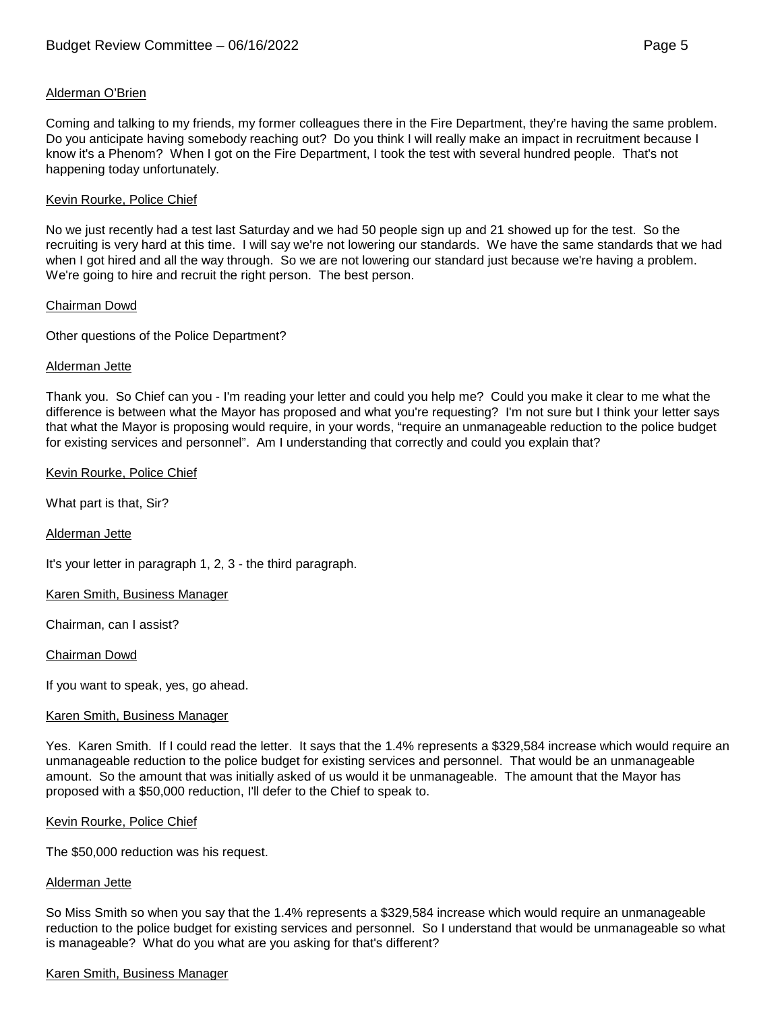## Alderman O'Brien

Coming and talking to my friends, my former colleagues there in the Fire Department, they're having the same problem. Do you anticipate having somebody reaching out? Do you think I will really make an impact in recruitment because I know it's a Phenom? When I got on the Fire Department, I took the test with several hundred people. That's not happening today unfortunately.

# Kevin Rourke, Police Chief

No we just recently had a test last Saturday and we had 50 people sign up and 21 showed up for the test. So the recruiting is very hard at this time. I will say we're not lowering our standards. We have the same standards that we had when I got hired and all the way through. So we are not lowering our standard just because we're having a problem. We're going to hire and recruit the right person. The best person.

## Chairman Dowd

Other questions of the Police Department?

## Alderman Jette

Thank you. So Chief can you - I'm reading your letter and could you help me? Could you make it clear to me what the difference is between what the Mayor has proposed and what you're requesting? I'm not sure but I think your letter says that what the Mayor is proposing would require, in your words, "require an unmanageable reduction to the police budget for existing services and personnel". Am I understanding that correctly and could you explain that?

# Kevin Rourke, Police Chief

What part is that, Sir?

Alderman Jette

It's your letter in paragraph 1, 2, 3 - the third paragraph.

## Karen Smith, Business Manager

Chairman, can I assist?

## Chairman Dowd

If you want to speak, yes, go ahead.

## Karen Smith, Business Manager

Yes. Karen Smith. If I could read the letter. It says that the 1.4% represents a \$329,584 increase which would require an unmanageable reduction to the police budget for existing services and personnel. That would be an unmanageable amount. So the amount that was initially asked of us would it be unmanageable. The amount that the Mayor has proposed with a \$50,000 reduction, I'll defer to the Chief to speak to.

## Kevin Rourke, Police Chief

The \$50,000 reduction was his request.

## Alderman Jette

So Miss Smith so when you say that the 1.4% represents a \$329,584 increase which would require an unmanageable reduction to the police budget for existing services and personnel. So I understand that would be unmanageable so what is manageable? What do you what are you asking for that's different?

## Karen Smith, Business Manager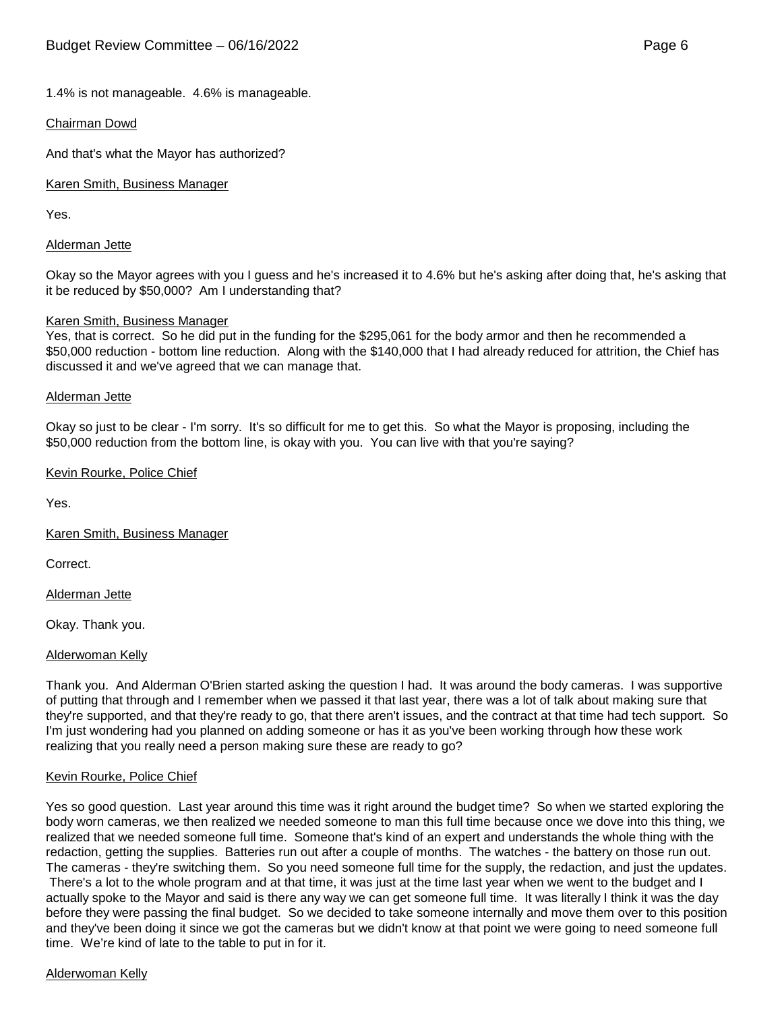# 1.4% is not manageable. 4.6% is manageable.

## Chairman Dowd

And that's what the Mayor has authorized?

Karen Smith, Business Manager

Yes.

#### Alderman Jette

Okay so the Mayor agrees with you I guess and he's increased it to 4.6% but he's asking after doing that, he's asking that it be reduced by \$50,000? Am I understanding that?

#### Karen Smith, Business Manager

Yes, that is correct. So he did put in the funding for the \$295,061 for the body armor and then he recommended a \$50,000 reduction - bottom line reduction. Along with the \$140,000 that I had already reduced for attrition, the Chief has discussed it and we've agreed that we can manage that.

#### Alderman Jette

Okay so just to be clear - I'm sorry. It's so difficult for me to get this. So what the Mayor is proposing, including the \$50,000 reduction from the bottom line, is okay with you. You can live with that you're saying?

#### Kevin Rourke, Police Chief

Yes.

## Karen Smith, Business Manager

Correct.

Alderman Jette

Okay. Thank you.

## Alderwoman Kelly

Thank you. And Alderman O'Brien started asking the question I had. It was around the body cameras. I was supportive of putting that through and I remember when we passed it that last year, there was a lot of talk about making sure that they're supported, and that they're ready to go, that there aren't issues, and the contract at that time had tech support. So I'm just wondering had you planned on adding someone or has it as you've been working through how these work realizing that you really need a person making sure these are ready to go?

## Kevin Rourke, Police Chief

Yes so good question. Last year around this time was it right around the budget time? So when we started exploring the body worn cameras, we then realized we needed someone to man this full time because once we dove into this thing, we realized that we needed someone full time. Someone that's kind of an expert and understands the whole thing with the redaction, getting the supplies. Batteries run out after a couple of months. The watches - the battery on those run out. The cameras - they're switching them. So you need someone full time for the supply, the redaction, and just the updates. There's a lot to the whole program and at that time, it was just at the time last year when we went to the budget and I actually spoke to the Mayor and said is there any way we can get someone full time. It was literally I think it was the day before they were passing the final budget. So we decided to take someone internally and move them over to this position and they've been doing it since we got the cameras but we didn't know at that point we were going to need someone full time. We're kind of late to the table to put in for it.

#### Alderwoman Kelly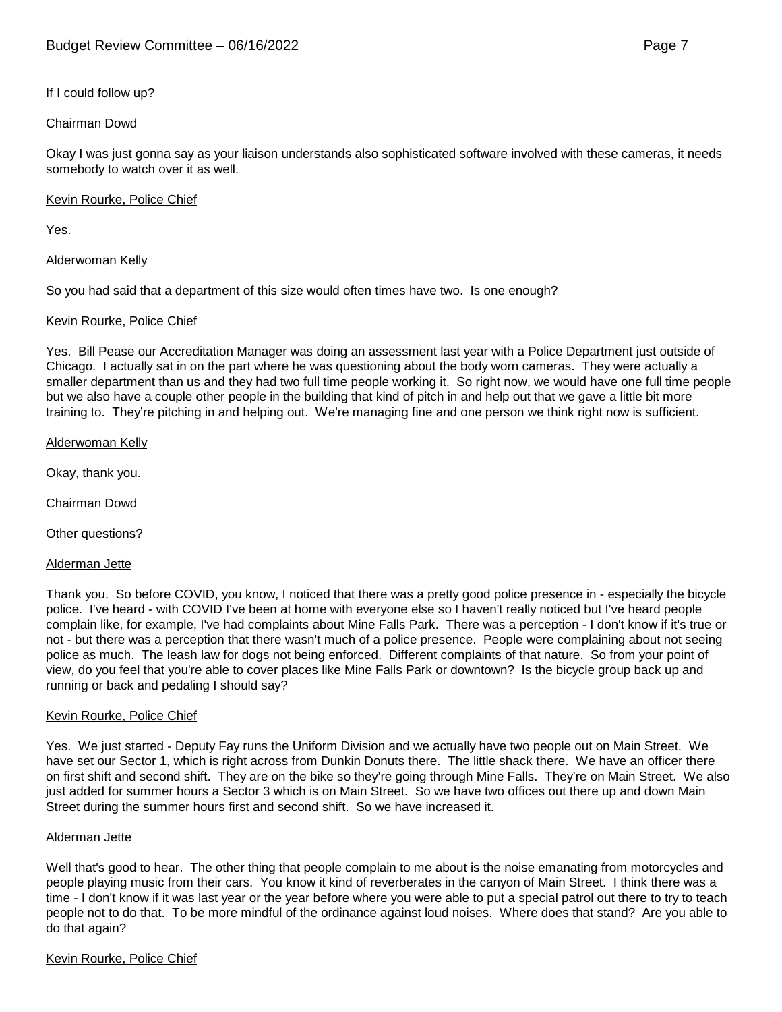# If I could follow up?

# Chairman Dowd

Okay I was just gonna say as your liaison understands also sophisticated software involved with these cameras, it needs somebody to watch over it as well.

## Kevin Rourke, Police Chief

Yes.

Alderwoman Kelly

So you had said that a department of this size would often times have two. Is one enough?

# Kevin Rourke, Police Chief

Yes. Bill Pease our Accreditation Manager was doing an assessment last year with a Police Department just outside of Chicago. I actually sat in on the part where he was questioning about the body worn cameras. They were actually a smaller department than us and they had two full time people working it. So right now, we would have one full time people but we also have a couple other people in the building that kind of pitch in and help out that we gave a little bit more training to. They're pitching in and helping out. We're managing fine and one person we think right now is sufficient.

Alderwoman Kelly

Okay, thank you.

Chairman Dowd

Other questions?

Alderman Jette

Thank you. So before COVID, you know, I noticed that there was a pretty good police presence in - especially the bicycle police. I've heard - with COVID I've been at home with everyone else so I haven't really noticed but I've heard people complain like, for example, I've had complaints about Mine Falls Park. There was a perception - I don't know if it's true or not - but there was a perception that there wasn't much of a police presence. People were complaining about not seeing police as much. The leash law for dogs not being enforced. Different complaints of that nature. So from your point of view, do you feel that you're able to cover places like Mine Falls Park or downtown? Is the bicycle group back up and running or back and pedaling I should say?

## Kevin Rourke, Police Chief

Yes. We just started - Deputy Fay runs the Uniform Division and we actually have two people out on Main Street. We have set our Sector 1, which is right across from Dunkin Donuts there. The little shack there. We have an officer there on first shift and second shift. They are on the bike so they're going through Mine Falls. They're on Main Street. We also just added for summer hours a Sector 3 which is on Main Street. So we have two offices out there up and down Main Street during the summer hours first and second shift. So we have increased it.

## Alderman Jette

Well that's good to hear. The other thing that people complain to me about is the noise emanating from motorcycles and people playing music from their cars. You know it kind of reverberates in the canyon of Main Street. I think there was a time - I don't know if it was last year or the year before where you were able to put a special patrol out there to try to teach people not to do that. To be more mindful of the ordinance against loud noises. Where does that stand? Are you able to do that again?

## Kevin Rourke, Police Chief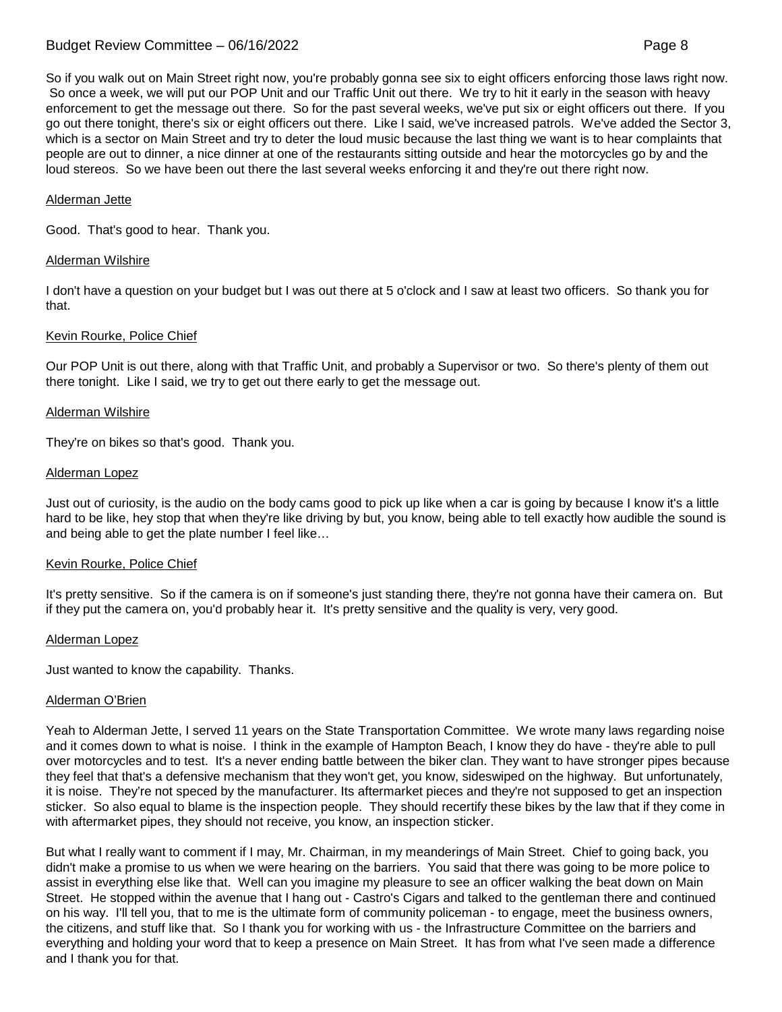# Budget Review Committee – 06/16/2022 Page 8

So if you walk out on Main Street right now, you're probably gonna see six to eight officers enforcing those laws right now. So once a week, we will put our POP Unit and our Traffic Unit out there. We try to hit it early in the season with heavy enforcement to get the message out there. So for the past several weeks, we've put six or eight officers out there. If you go out there tonight, there's six or eight officers out there. Like I said, we've increased patrols. We've added the Sector 3, which is a sector on Main Street and try to deter the loud music because the last thing we want is to hear complaints that people are out to dinner, a nice dinner at one of the restaurants sitting outside and hear the motorcycles go by and the loud stereos. So we have been out there the last several weeks enforcing it and they're out there right now.

## Alderman Jette

Good. That's good to hear. Thank you.

#### Alderman Wilshire

I don't have a question on your budget but I was out there at 5 o'clock and I saw at least two officers. So thank you for that.

#### Kevin Rourke, Police Chief

Our POP Unit is out there, along with that Traffic Unit, and probably a Supervisor or two. So there's plenty of them out there tonight. Like I said, we try to get out there early to get the message out.

#### Alderman Wilshire

They're on bikes so that's good. Thank you.

#### Alderman Lopez

Just out of curiosity, is the audio on the body cams good to pick up like when a car is going by because I know it's a little hard to be like, hey stop that when they're like driving by but, you know, being able to tell exactly how audible the sound is and being able to get the plate number I feel like…

#### Kevin Rourke, Police Chief

It's pretty sensitive. So if the camera is on if someone's just standing there, they're not gonna have their camera on. But if they put the camera on, you'd probably hear it. It's pretty sensitive and the quality is very, very good.

#### Alderman Lopez

Just wanted to know the capability. Thanks.

## Alderman O'Brien

Yeah to Alderman Jette, I served 11 years on the State Transportation Committee. We wrote many laws regarding noise and it comes down to what is noise. I think in the example of Hampton Beach, I know they do have - they're able to pull over motorcycles and to test. It's a never ending battle between the biker clan. They want to have stronger pipes because they feel that that's a defensive mechanism that they won't get, you know, sideswiped on the highway. But unfortunately, it is noise. They're not speced by the manufacturer. Its aftermarket pieces and they're not supposed to get an inspection sticker. So also equal to blame is the inspection people. They should recertify these bikes by the law that if they come in with aftermarket pipes, they should not receive, you know, an inspection sticker.

But what I really want to comment if I may, Mr. Chairman, in my meanderings of Main Street. Chief to going back, you didn't make a promise to us when we were hearing on the barriers. You said that there was going to be more police to assist in everything else like that. Well can you imagine my pleasure to see an officer walking the beat down on Main Street. He stopped within the avenue that I hang out - Castro's Cigars and talked to the gentleman there and continued on his way. I'll tell you, that to me is the ultimate form of community policeman - to engage, meet the business owners, the citizens, and stuff like that. So I thank you for working with us - the Infrastructure Committee on the barriers and everything and holding your word that to keep a presence on Main Street. It has from what I've seen made a difference and I thank you for that.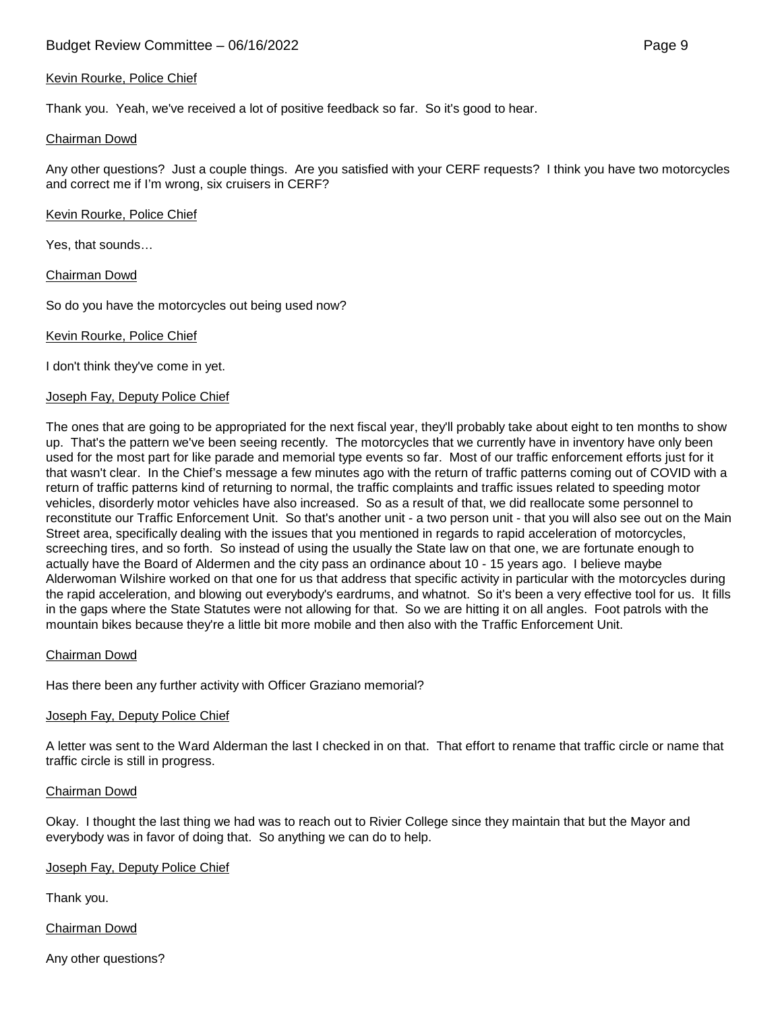## Kevin Rourke, Police Chief

Thank you. Yeah, we've received a lot of positive feedback so far. So it's good to hear.

#### Chairman Dowd

Any other questions? Just a couple things. Are you satisfied with your CERF requests? I think you have two motorcycles and correct me if I'm wrong, six cruisers in CERF?

Kevin Rourke, Police Chief

Yes, that sounds…

Chairman Dowd

So do you have the motorcycles out being used now?

Kevin Rourke, Police Chief

I don't think they've come in yet.

#### Joseph Fay, Deputy Police Chief

The ones that are going to be appropriated for the next fiscal year, they'll probably take about eight to ten months to show up. That's the pattern we've been seeing recently. The motorcycles that we currently have in inventory have only been used for the most part for like parade and memorial type events so far. Most of our traffic enforcement efforts just for it that wasn't clear. In the Chief's message a few minutes ago with the return of traffic patterns coming out of COVID with a return of traffic patterns kind of returning to normal, the traffic complaints and traffic issues related to speeding motor vehicles, disorderly motor vehicles have also increased. So as a result of that, we did reallocate some personnel to reconstitute our Traffic Enforcement Unit. So that's another unit - a two person unit - that you will also see out on the Main Street area, specifically dealing with the issues that you mentioned in regards to rapid acceleration of motorcycles, screeching tires, and so forth. So instead of using the usually the State law on that one, we are fortunate enough to actually have the Board of Aldermen and the city pass an ordinance about 10 - 15 years ago. I believe maybe Alderwoman Wilshire worked on that one for us that address that specific activity in particular with the motorcycles during the rapid acceleration, and blowing out everybody's eardrums, and whatnot. So it's been a very effective tool for us. It fills in the gaps where the State Statutes were not allowing for that. So we are hitting it on all angles. Foot patrols with the mountain bikes because they're a little bit more mobile and then also with the Traffic Enforcement Unit.

#### Chairman Dowd

Has there been any further activity with Officer Graziano memorial?

#### Joseph Fay, Deputy Police Chief

A letter was sent to the Ward Alderman the last I checked in on that. That effort to rename that traffic circle or name that traffic circle is still in progress.

## Chairman Dowd

Okay. I thought the last thing we had was to reach out to Rivier College since they maintain that but the Mayor and everybody was in favor of doing that. So anything we can do to help.

## Joseph Fay, Deputy Police Chief

Thank you.

Chairman Dowd

Any other questions?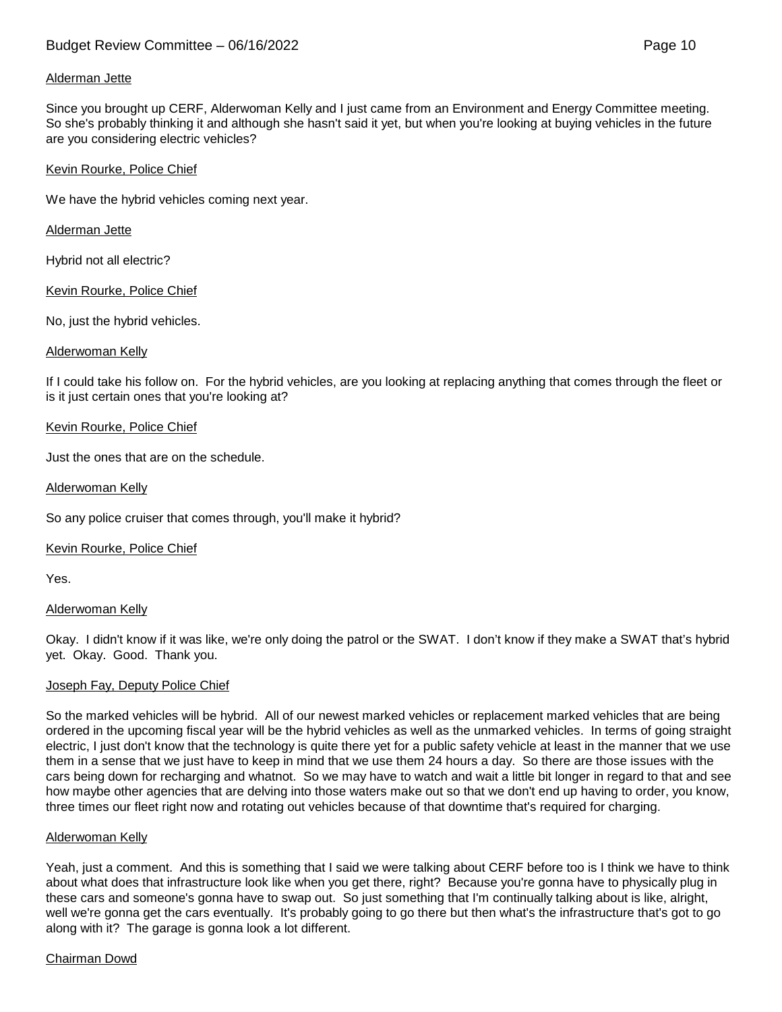# Alderman Jette

Since you brought up CERF, Alderwoman Kelly and I just came from an Environment and Energy Committee meeting. So she's probably thinking it and although she hasn't said it yet, but when you're looking at buying vehicles in the future are you considering electric vehicles?

## Kevin Rourke, Police Chief

We have the hybrid vehicles coming next year.

# Alderman Jette

Hybrid not all electric?

Kevin Rourke, Police Chief

No, just the hybrid vehicles.

# Alderwoman Kelly

If I could take his follow on. For the hybrid vehicles, are you looking at replacing anything that comes through the fleet or is it just certain ones that you're looking at?

# Kevin Rourke, Police Chief

Just the ones that are on the schedule.

# Alderwoman Kelly

So any police cruiser that comes through, you'll make it hybrid?

## Kevin Rourke, Police Chief

Yes.

## Alderwoman Kelly

Okay. I didn't know if it was like, we're only doing the patrol or the SWAT. I don't know if they make a SWAT that's hybrid yet. Okay. Good. Thank you.

## Joseph Fay, Deputy Police Chief

So the marked vehicles will be hybrid. All of our newest marked vehicles or replacement marked vehicles that are being ordered in the upcoming fiscal year will be the hybrid vehicles as well as the unmarked vehicles. In terms of going straight electric, I just don't know that the technology is quite there yet for a public safety vehicle at least in the manner that we use them in a sense that we just have to keep in mind that we use them 24 hours a day. So there are those issues with the cars being down for recharging and whatnot. So we may have to watch and wait a little bit longer in regard to that and see how maybe other agencies that are delving into those waters make out so that we don't end up having to order, you know, three times our fleet right now and rotating out vehicles because of that downtime that's required for charging.

## Alderwoman Kelly

Yeah, just a comment. And this is something that I said we were talking about CERF before too is I think we have to think about what does that infrastructure look like when you get there, right? Because you're gonna have to physically plug in these cars and someone's gonna have to swap out. So just something that I'm continually talking about is like, alright, well we're gonna get the cars eventually. It's probably going to go there but then what's the infrastructure that's got to go along with it? The garage is gonna look a lot different.

# Chairman Dowd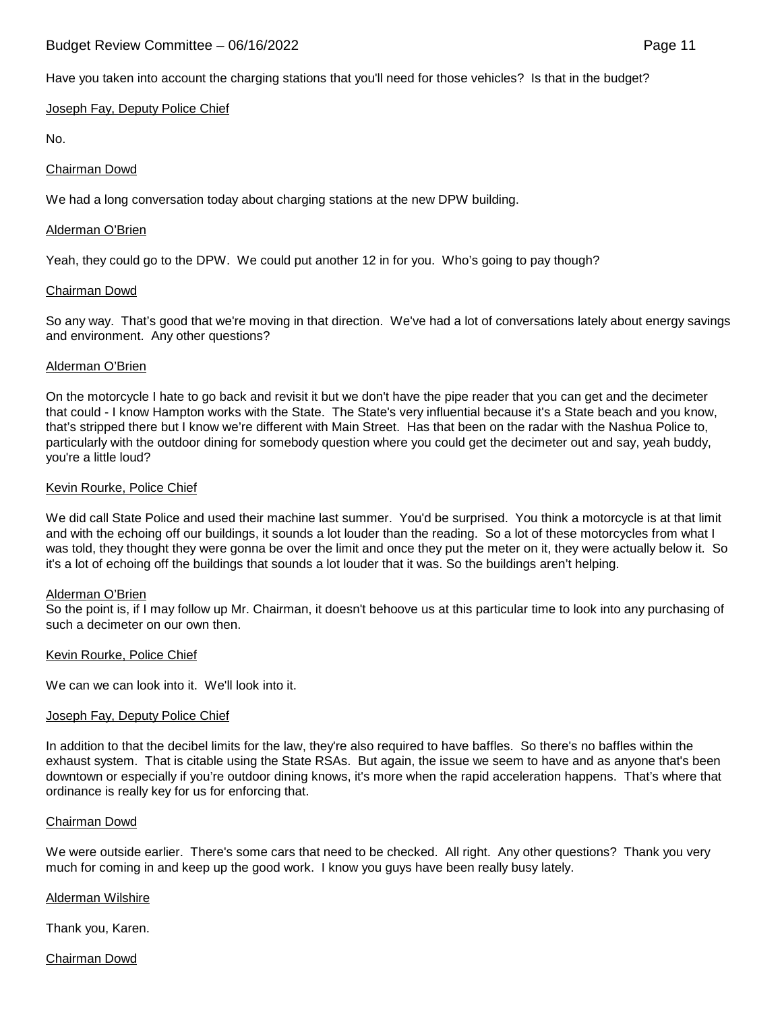# Budget Review Committee – 06/16/2022 Page 11

Have you taken into account the charging stations that you'll need for those vehicles? Is that in the budget?

Joseph Fay, Deputy Police Chief

No.

# Chairman Dowd

We had a long conversation today about charging stations at the new DPW building.

## Alderman O'Brien

Yeah, they could go to the DPW. We could put another 12 in for you. Who's going to pay though?

## Chairman Dowd

So any way. That's good that we're moving in that direction. We've had a lot of conversations lately about energy savings and environment. Any other questions?

# Alderman O'Brien

On the motorcycle I hate to go back and revisit it but we don't have the pipe reader that you can get and the decimeter that could - I know Hampton works with the State. The State's very influential because it's a State beach and you know, that's stripped there but I know we're different with Main Street. Has that been on the radar with the Nashua Police to, particularly with the outdoor dining for somebody question where you could get the decimeter out and say, yeah buddy, you're a little loud?

# Kevin Rourke, Police Chief

We did call State Police and used their machine last summer. You'd be surprised. You think a motorcycle is at that limit and with the echoing off our buildings, it sounds a lot louder than the reading. So a lot of these motorcycles from what I was told, they thought they were gonna be over the limit and once they put the meter on it, they were actually below it. So it's a lot of echoing off the buildings that sounds a lot louder that it was. So the buildings aren't helping.

## Alderman O'Brien

So the point is, if I may follow up Mr. Chairman, it doesn't behoove us at this particular time to look into any purchasing of such a decimeter on our own then.

## Kevin Rourke, Police Chief

We can we can look into it. We'll look into it.

## Joseph Fay, Deputy Police Chief

In addition to that the decibel limits for the law, they're also required to have baffles. So there's no baffles within the exhaust system. That is citable using the State RSAs. But again, the issue we seem to have and as anyone that's been downtown or especially if you're outdoor dining knows, it's more when the rapid acceleration happens. That's where that ordinance is really key for us for enforcing that.

## Chairman Dowd

We were outside earlier. There's some cars that need to be checked. All right. Any other questions? Thank you very much for coming in and keep up the good work. I know you guys have been really busy lately.

# Alderman Wilshire

Thank you, Karen.

Chairman Dowd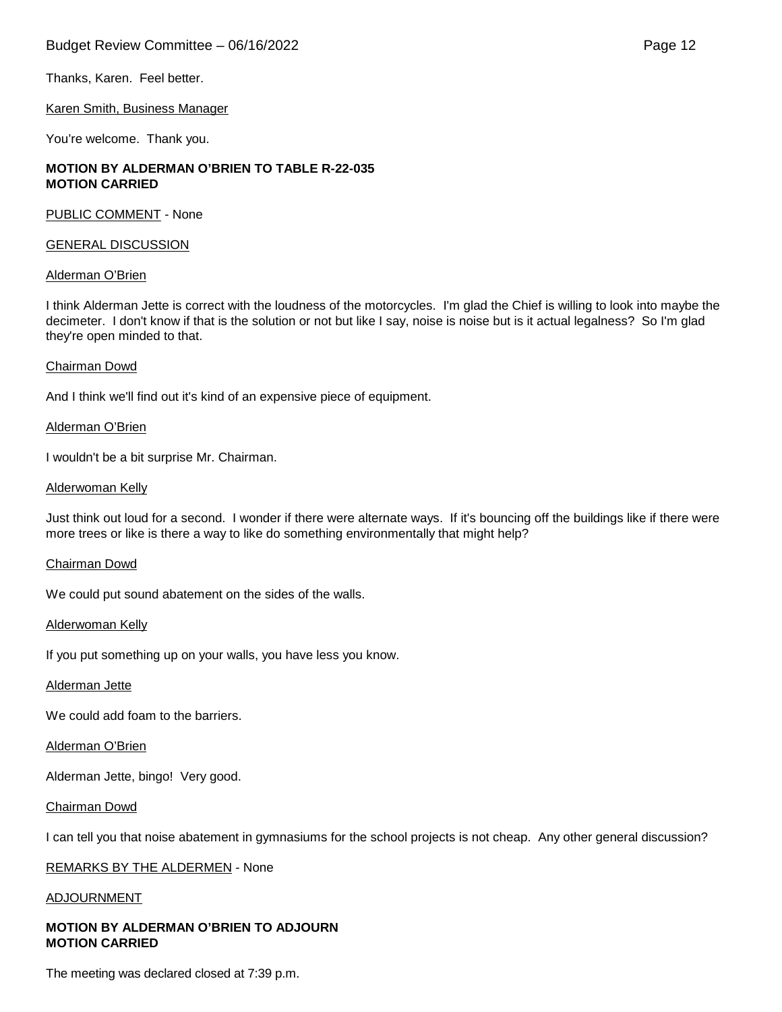# Budget Review Committee – 06/16/2022 **Page 12** Page 12

Karen Smith, Business Manager

You're welcome. Thank you.

## **MOTION BY ALDERMAN O'BRIEN TO TABLE R-22-035 MOTION CARRIED**

PUBLIC COMMENT - None

#### GENERAL DISCUSSION

#### Alderman O'Brien

I think Alderman Jette is correct with the loudness of the motorcycles. I'm glad the Chief is willing to look into maybe the decimeter. I don't know if that is the solution or not but like I say, noise is noise but is it actual legalness? So I'm glad they're open minded to that.

#### Chairman Dowd

And I think we'll find out it's kind of an expensive piece of equipment.

#### Alderman O'Brien

I wouldn't be a bit surprise Mr. Chairman.

#### Alderwoman Kelly

Just think out loud for a second. I wonder if there were alternate ways. If it's bouncing off the buildings like if there were more trees or like is there a way to like do something environmentally that might help?

#### Chairman Dowd

We could put sound abatement on the sides of the walls.

#### Alderwoman Kelly

If you put something up on your walls, you have less you know.

Alderman Jette

We could add foam to the barriers.

#### Alderman O'Brien

Alderman Jette, bingo! Very good.

#### Chairman Dowd

I can tell you that noise abatement in gymnasiums for the school projects is not cheap. Any other general discussion?

## REMARKS BY THE ALDERMEN - None

#### ADJOURNMENT

# **MOTION BY ALDERMAN O'BRIEN TO ADJOURN MOTION CARRIED**

The meeting was declared closed at 7:39 p.m.